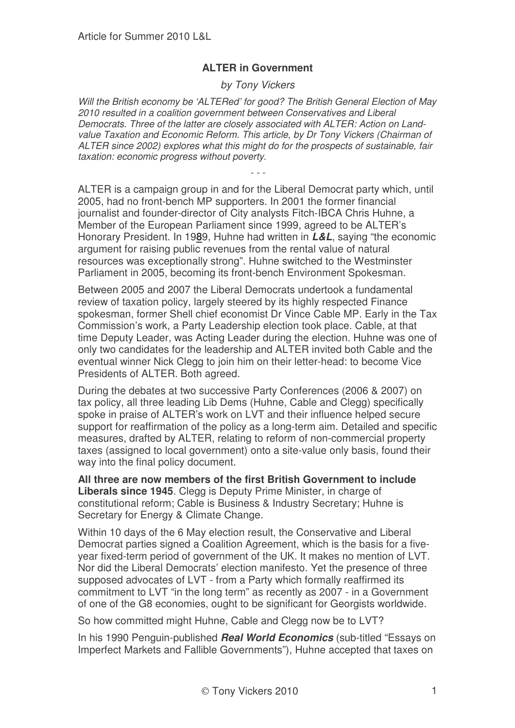## **ALTER in Government**

## *by Tony Vickers*

*Will the British economy be 'ALTERed' for good? The British General Election of May 2010 resulted in a coalition government between Conservatives and Liberal Democrats. Three of the latter are closely associated with ALTER: Action on Landvalue Taxation and Economic Reform. This article, by Dr Tony Vickers (Chairman of ALTER since 2002) explores what this might do for the prospects of sustainable, fair taxation: economic progress without poverty.*

*- - -*

ALTER is a campaign group in and for the Liberal Democrat party which, until 2005, had no front-bench MP supporters. In 2001 the former financial journalist and founder-director of City analysts Fitch-IBCA Chris Huhne, a Member of the European Parliament since 1999, agreed to be ALTER's Honorary President. In 19**8**9, Huhne had written in *L&L*, saying "the economic argument for raising public revenues from the rental value of natural resources was exceptionally strong". Huhne switched to the Westminster Parliament in 2005, becoming its front-bench Environment Spokesman.

Between 2005 and 2007 the Liberal Democrats undertook a fundamental review of taxation policy, largely steered by its highly respected Finance spokesman, former Shell chief economist Dr Vince Cable MP. Early in the Tax Commission's work, a Party Leadership election took place. Cable, at that time Deputy Leader, was Acting Leader during the election. Huhne was one of only two candidates for the leadership and ALTER invited both Cable and the eventual winner Nick Clegg to join him on their letter-head: to become Vice Presidents of ALTER. Both agreed.

During the debates at two successive Party Conferences (2006 & 2007) on tax policy, all three leading Lib Dems (Huhne, Cable and Clegg) specifically spoke in praise of ALTER's work on LVT and their influence helped secure support for reaffirmation of the policy as a long-term aim. Detailed and specific measures, drafted by ALTER, relating to reform of non-commercial property taxes (assigned to local government) onto a site-value only basis, found their way into the final policy document.

**All three are now members of the first British Government to include Liberals since 1945**. Clegg is Deputy Prime Minister, in charge of constitutional reform; Cable is Business & Industry Secretary; Huhne is Secretary for Energy & Climate Change.

Within 10 days of the 6 May election result, the Conservative and Liberal Democrat parties signed a Coalition Agreement, which is the basis for a fiveyear fixed-term period of government of the UK. It makes no mention of LVT. Nor did the Liberal Democrats' election manifesto. Yet the presence of three supposed advocates of LVT - from a Party which formally reaffirmed its commitment to LVT "in the long term" as recently as 2007 - in a Government of one of the G8 economies, ought to be significant for Georgists worldwide.

So how committed might Huhne, Cable and Clegg now be to LVT?

In his 1990 Penguin-published *Real World Economics* (sub-titled "Essays on Imperfect Markets and Fallible Governments"), Huhne accepted that taxes on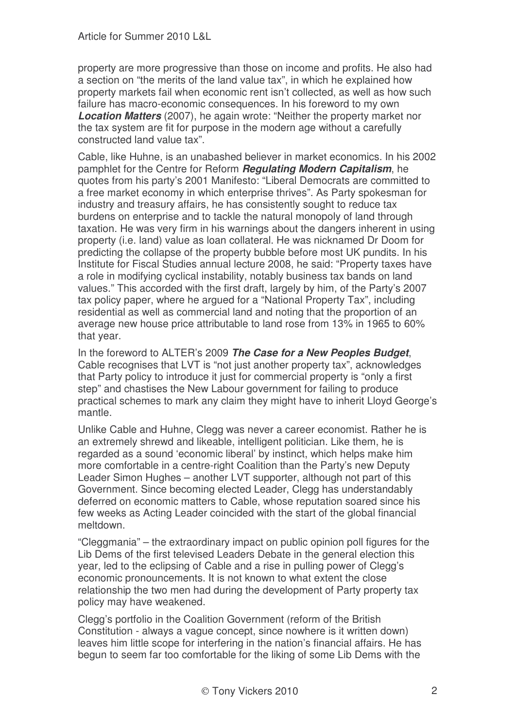property are more progressive than those on income and profits. He also had a section on "the merits of the land value tax", in which he explained how property markets fail when economic rent isn't collected, as well as how such failure has macro-economic consequences. In his foreword to my own *Location Matters* (2007), he again wrote: "Neither the property market nor the tax system are fit for purpose in the modern age without a carefully constructed land value tax".

Cable, like Huhne, is an unabashed believer in market economics. In his 2002 pamphlet for the Centre for Reform *Regulating Modern Capitalism*, he quotes from his party's 2001 Manifesto: "Liberal Democrats are committed to a free market economy in which enterprise thrives". As Party spokesman for industry and treasury affairs, he has consistently sought to reduce tax burdens on enterprise and to tackle the natural monopoly of land through taxation. He was very firm in his warnings about the dangers inherent in using property (i.e. land) value as loan collateral. He was nicknamed Dr Doom for predicting the collapse of the property bubble before most UK pundits. In his Institute for Fiscal Studies annual lecture 2008, he said: "Property taxes have a role in modifying cyclical instability, notably business tax bands on land values." This accorded with the first draft, largely by him, of the Party's 2007 tax policy paper, where he argued for a "National Property Tax", including residential as well as commercial land and noting that the proportion of an average new house price attributable to land rose from 13% in 1965 to 60% that year.

In the foreword to ALTER's 2009 *The Case for a New Peoples Budget*, Cable recognises that LVT is "not just another property tax", acknowledges that Party policy to introduce it just for commercial property is "only a first step" and chastises the New Labour government for failing to produce practical schemes to mark any claim they might have to inherit Lloyd George's mantle.

Unlike Cable and Huhne, Clegg was never a career economist. Rather he is an extremely shrewd and likeable, intelligent politician. Like them, he is regarded as a sound 'economic liberal' by instinct, which helps make him more comfortable in a centre-right Coalition than the Party's new Deputy Leader Simon Hughes – another LVT supporter, although not part of this Government. Since becoming elected Leader, Clegg has understandably deferred on economic matters to Cable, whose reputation soared since his few weeks as Acting Leader coincided with the start of the global financial meltdown.

"Cleggmania" – the extraordinary impact on public opinion poll figures for the Lib Dems of the first televised Leaders Debate in the general election this year, led to the eclipsing of Cable and a rise in pulling power of Clegg's economic pronouncements. It is not known to what extent the close relationship the two men had during the development of Party property tax policy may have weakened.

Clegg's portfolio in the Coalition Government (reform of the British Constitution - always a vague concept, since nowhere is it written down) leaves him little scope for interfering in the nation's financial affairs. He has begun to seem far too comfortable for the liking of some Lib Dems with the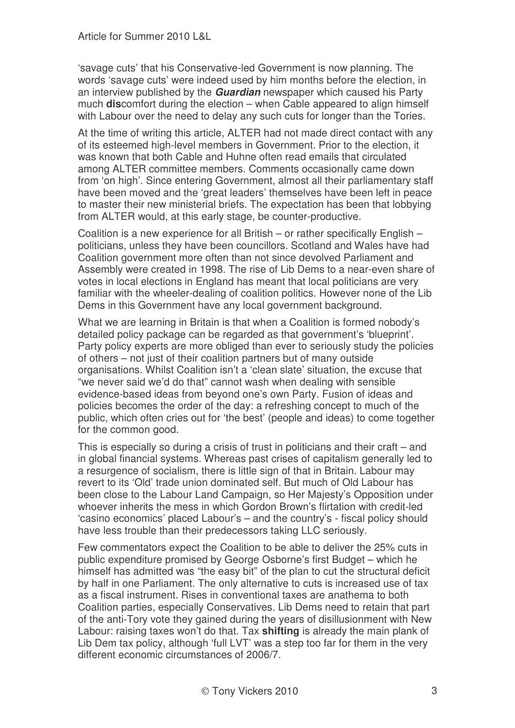'savage cuts' that his Conservative-led Government is now planning. The words 'savage cuts' were indeed used by him months before the election, in an interview published by the *Guardian* newspaper which caused his Party much **dis**comfort during the election – when Cable appeared to align himself with Labour over the need to delay any such cuts for longer than the Tories.

At the time of writing this article, ALTER had not made direct contact with any of its esteemed high-level members in Government. Prior to the election, it was known that both Cable and Huhne often read emails that circulated among ALTER committee members. Comments occasionally came down from 'on high'. Since entering Government, almost all their parliamentary staff have been moved and the 'great leaders' themselves have been left in peace to master their new ministerial briefs. The expectation has been that lobbying from ALTER would, at this early stage, be counter-productive.

Coalition is a new experience for all British – or rather specifically English – politicians, unless they have been councillors. Scotland and Wales have had Coalition government more often than not since devolved Parliament and Assembly were created in 1998. The rise of Lib Dems to a near-even share of votes in local elections in England has meant that local politicians are very familiar with the wheeler-dealing of coalition politics. However none of the Lib Dems in this Government have any local government background.

What we are learning in Britain is that when a Coalition is formed nobody's detailed policy package can be regarded as that government's 'blueprint'. Party policy experts are more obliged than ever to seriously study the policies of others – not just of their coalition partners but of many outside organisations. Whilst Coalition isn't a 'clean slate' situation, the excuse that "we never said we'd do that" cannot wash when dealing with sensible evidence-based ideas from beyond one's own Party. Fusion of ideas and policies becomes the order of the day: a refreshing concept to much of the public, which often cries out for 'the best' (people and ideas) to come together for the common good.

This is especially so during a crisis of trust in politicians and their craft – and in global financial systems. Whereas past crises of capitalism generally led to a resurgence of socialism, there is little sign of that in Britain. Labour may revert to its 'Old' trade union dominated self. But much of Old Labour has been close to the Labour Land Campaign, so Her Majesty's Opposition under whoever inherits the mess in which Gordon Brown's flirtation with credit-led 'casino economics' placed Labour's – and the country's - fiscal policy should have less trouble than their predecessors taking LLC seriously.

Few commentators expect the Coalition to be able to deliver the 25% cuts in public expenditure promised by George Osborne's first Budget – which he himself has admitted was "the easy bit" of the plan to cut the structural deficit by half in one Parliament. The only alternative to cuts is increased use of tax as a fiscal instrument. Rises in conventional taxes are anathema to both Coalition parties, especially Conservatives. Lib Dems need to retain that part of the anti-Tory vote they gained during the years of disillusionment with New Labour: raising taxes won't do that. Tax **shifting** is already the main plank of Lib Dem tax policy, although 'full LVT' was a step too far for them in the very different economic circumstances of 2006/7.